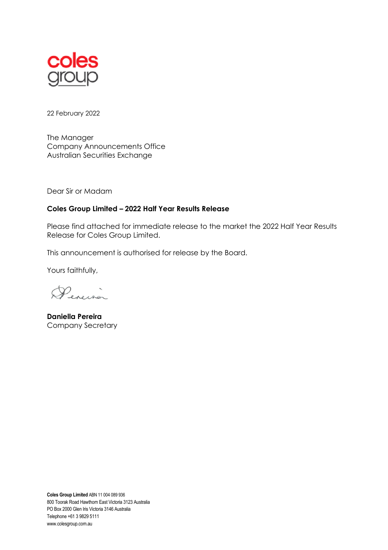

22 February 2022

The Manager Company Announcements Office Australian Securities Exchange

Dear Sir or Madam

## **Coles Group Limited – 2022 Half Year Results Release**

Please find attached for immediate release to the market the 2022 Half Year Results Release for Coles Group Limited.

This announcement is authorised for release by the Board.

Yours faithfully,

Pereina

**Daniella Pereira** Company Secretary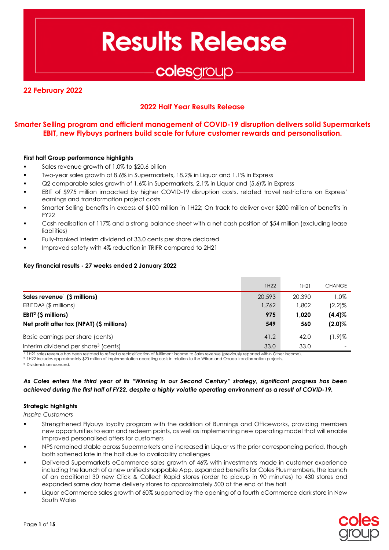**Results Release** 

# colesgroup

## **22 February 2022**

## **2022 Half Year Results Release**

## **Smarter Selling program and efficient management of COVID-19 disruption delivers solid Supermarkets EBIT, new Flybuys partners build scale for future customer rewards and personalisation.**

#### **First half Group performance highlights**

- Sales revenue growth of 1.0% to \$20.6 billion
- Two-year sales growth of 8.6% in Supermarkets, 18.2% in Liquor and 1.1% in Express
- Q2 comparable sales growth of 1.6% in Supermarkets, 2.1% in Liquor and (5.6)% in Express
- EBIT of \$975 million impacted by higher COVID-19 disruption costs, related travel restrictions on Express' earnings and transformation project costs
- Smarter Selling benefits in excess of \$100 million in 1H22; On track to deliver over \$200 million of benefits in FY22
- Cash realisation of 117% and a strong balance sheet with a net cash position of \$54 million (excluding lease liabilities)
- Fully-franked interim dividend of 33.0 cents per share declared
- Improved safety with 4% reduction in TRIFR compared to 2H21

#### **Key financial results - 27 weeks ended 2 January 2022**

|                                                   | 1H22   | 1H21   | <b>CHANGE</b> |
|---------------------------------------------------|--------|--------|---------------|
| Sales revenue $\left( \text{S} \right)$ millions) | 20,593 | 20,390 | $1.0\%$       |
| $EBITDA2$ (\$ millions)                           | 1,762  | 802. ا | $(2.2)\%$     |
| $EBIT2$ (\$ millions)                             | 975    | 1.020  | $(4.4)\%$     |
| Net profit after tax (NPAT) (\$ millions)         | 549    | 560    | $(2.0)\%$     |
| Basic earnings per share (cents)                  | 41.2   | 42.0   | $(1.9)$ %     |
| Interim dividend per share <sup>3</sup> (cents)   | 33.0   | 33.0   |               |

<sup>1</sup> 1H21 sales revenue has been restated to reflect a reclassification of fulfilment income to Sales revenue (previously reported within Other Income). <sup>2</sup> 1H22 includes approximately \$20 million of implementation operating costs in relation to the Witron and Ocado transformation projects.

<sup>3</sup> Dividends announced.

#### *As Coles enters the third year of its "Winning in our Second Century" strategy, significant progress has been achieved during the first half of FY22, despite a highly volatile operating environment as a result of COVID-19.*

#### **Strategic highlights**

*Inspire Customers* 

- Strengthened Flybuys loyalty program with the addition of Bunnings and Officeworks, providing members new opportunities to earn and redeem points, as well as implementing new operating model that will enable improved personalised offers for customers
- NPS remained stable across Supermarkets and increased in Liquor vs the prior corresponding period, though both softened late in the half due to availability challenges
- Delivered Supermarkets eCommerce sales growth of 46% with investments made in customer experience including the launch of a new unified shoppable App, expanded benefits for Coles Plus members, the launch of an additional 30 new Click & Collect Rapid stores (order to pickup in 90 minutes) to 430 stores and expanded same day home delivery stores to approximately 500 at the end of the half
- Liquor eCommerce sales growth of 60% supported by the opening of a fourth eCommerce dark store in New South Wales

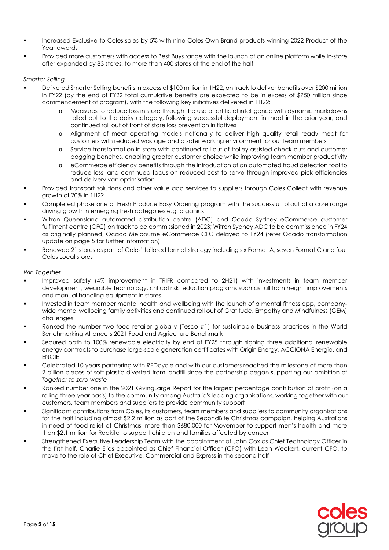- Increased Exclusive to Coles sales by 5% with nine Coles Own Brand products winning 2022 Product of the Year awards
- Provided more customers with access to Best Buys range with the launch of an online platform while in-store offer expanded by 83 stores, to more than 400 stores at the end of the half

#### *Smarter Selling*

- Delivered Smarter Selling benefits in excess of \$100 million in 1H22, on track to deliver benefits over \$200 million in FY22 (by the end of FY22 total cumulative benefits are expected to be in excess of \$750 million since commencement of program), with the following key initiatives delivered in 1H22:
	- o Measures to reduce loss in store through the use of artificial intelligence with dynamic markdowns rolled out to the dairy category, following successful deployment in meat in the prior year, and continued roll out of front of store loss prevention initiatives
	- o Alignment of meat operating models nationally to deliver high quality retail ready meat for customers with reduced wastage and a safer working environment for our team members
	- o Service transformation in store with continued roll out of trolley assisted check outs and customer bagging benches, enabling greater customer choice while improving team member productivity
	- o eCommerce efficiency benefits through the introduction of an automated fraud detection tool to reduce loss, and continued focus on reduced cost to serve through improved pick efficiencies and delivery van optimisation
- Provided transport solutions and other value add services to suppliers through Coles Collect with revenue growth of 20% in 1H22
- Completed phase one of Fresh Produce Easy Ordering program with the successful rollout of a core range driving growth in emerging fresh categories e.g. organics
- Witron Queensland automated distribution centre (ADC) and Ocado Sydney eCommerce customer fulfilment centre (CFC) on track to be commissioned in 2023; Witron Sydney ADC to be commissioned in FY24 as originally planned, Ocado Melbourne eCommerce CFC delayed to FY24 (refer Ocado transformation update on page 5 for further information)
- Renewed 21 stores as part of Coles' tailored format strategy including six Format A, seven Format C and four Coles Local stores

#### *Win Together*

- Improved safety (4% improvement in TRIFR compared to 2H21) with investments in team member development, wearable technology, critical risk reduction programs such as fall from height improvements and manual handling equipment in stores
- Invested in team member mental health and wellbeing with the launch of a mental fitness app, companywide mental wellbeing family activities and continued roll out of Gratitude, Empathy and Mindfulness (GEM) challenges
- Ranked the number two food retailer globally (Tesco #1) for sustainable business practices in the World Benchmarking Alliance's 2021 Food and Agriculture Benchmark
- Secured path to 100% renewable electricity by end of FY25 through signing three additional renewable energy contracts to purchase large-scale generation certificates with Origin Energy, ACCIONA Energia, and ENGIE
- Celebrated 10 years partnering with REDcycle and with our customers reached the milestone of more than 2 billion pieces of soft plastic diverted from landfill since the partnership began supporting our ambition of *Together to zero waste*
- Ranked number one in the 2021 GivingLarge Report for the largest percentage contribution of profit (on a rolling three-year basis) to the community among Australia's leading organisations, working together with our customers, team members and suppliers to provide community support
- Sianificant contributions from Coles, its customers, team members and suppliers to community organisations for the half including almost \$2.2 million as part of the SecondBite Christmas campaign, helping Australians in need of food relief at Christmas, more than \$680,000 for Movember to support men's health and more than \$2.1 million for Redkite to support children and families affected by cancer
- Strengthened Executive Leadership Team with the appointment of John Cox as Chief Technology Officer in the first half. Charlie Elias appointed as Chief Financial Officer (CFO) with Leah Weckert, current CFO, to move to the role of Chief Executive, Commercial and Express in the second half

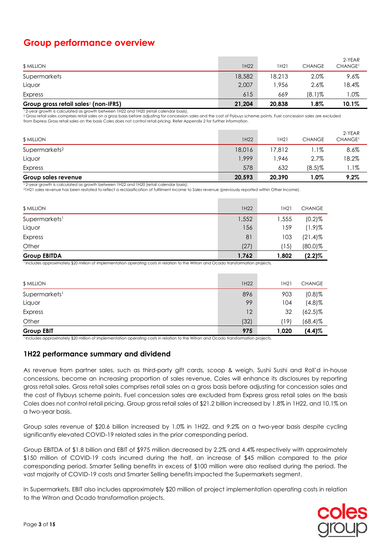## **Group performance overview**

| \$ MILLION                                       | 1H22   | <b>IH21</b> | <b>CHANGE</b> | 2-YEAR<br><b>CHANGE<sup>1</sup></b> |
|--------------------------------------------------|--------|-------------|---------------|-------------------------------------|
| Supermarkets                                     | 18,582 | 18,213      | 2.0%          | $9.6\%$                             |
| Liquor                                           | 2,007  | 1.956       | 2.6%          | 18.4%                               |
| Express                                          | 615    | 669         | $(8.1)\%$     | $1.0\%$                             |
| Group gross retail sales <sup>2</sup> (non-IFRS) | 21,204 | 20.838      | $1.8\%$       | $10.1\%$                            |

<sup>1</sup>2-year growth is calculated as growth between 1H22 and 1H20 (retail calendar basis).

<sup>2</sup> Gross retail sales comprises retail sales on a gross basis before adjusting for concession sales and the cost of Flybuys scheme points. Fuel concession sales are excluded from Express Gross retail sales on the basis Coles does not control retail pricing. Refer Appendix 2 for further information.

|        |        |               | 9.2%                          |
|--------|--------|---------------|-------------------------------|
| 578    | 632    | $(8.5)\%$     | 1.1%                          |
| 1,999  | .946   | 2.7%          | 18.2%                         |
| 18,016 | 17,812 | l.1%          | 8.6%                          |
| 1H22   | 1H21   | <b>CHANGE</b> | 2-YEAR<br>CHANGE <sup>1</sup> |
|        |        |               | 20,593<br>1.0%<br>20,390      |

<sup>1</sup>2-year growth is calculated as growth between 1H22 and 1H20 (retail calendar basis).

<sup>2</sup>1H21 sales revenue has been restated to reflect a reclassification of fulfilment income to Sales revenue (previously reported within Other Income).

| \$ MILLION                | 1H22  | 1H21  | <b>CHANGE</b> |
|---------------------------|-------|-------|---------------|
| Supermarkets <sup>1</sup> | 1,552 | 1,555 | $(0.2)$ %     |
| Liquor                    | 156   | 159   | $(1.9)$ %     |
| Express                   | 81    | 103   | $(21.4)$ %    |
| Other                     | (27)  | (15)  | $(80.0)$ %    |
| <b>Group EBITDA</b>       | 1,762 | 1,802 | $(2.2)\%$     |

<sup>1</sup>Includes approximately \$20 million of implementation operating costs in relation to the Witron and Ocado transformation projects.

| \$ MILLION                | 1H22 | 1H21  | <b>CHANGE</b> |
|---------------------------|------|-------|---------------|
| Supermarkets <sup>1</sup> | 896  | 903   | $(0.8)$ %     |
| Liquor                    | 99   | 104   | $(4.8)$ %     |
| Express                   | 12   | 32    | $(62.5)\%$    |
| Other                     | (32) | 19)   | $(68.4)\%$    |
| <b>Group EBIT</b>         | 975  | 1,020 | $(4.4)$ %     |

<sup>1</sup>Includes approximately \$20 million of implementation operating costs in relation to the Witron and Ocado transformation projects.

#### **1H22 performance summary and dividend**

As revenue from partner sales, such as third-party gift cards, scoop & weigh, Sushi Sushi and Roll'd in-house concessions, become an increasing proportion of sales revenue, Coles will enhance its disclosures by reporting gross retail sales. Gross retail sales comprises retail sales on a gross basis before adjusting for concession sales and the cost of Flybuys scheme points. Fuel concession sales are excluded from Express gross retail sales on the basis Coles does not control retail pricing. Group gross retail sales of \$21.2 billion increased by 1.8% in 1H22, and 10.1% on a two-year basis.

Group sales revenue of \$20.6 billion increased by 1.0% in 1H22, and 9.2% on a two-year basis despite cycling significantly elevated COVID-19 related sales in the prior corresponding period.

Group EBITDA of \$1.8 billion and EBIT of \$975 million decreased by 2.2% and 4.4% respectively with approximately \$150 million of COVID-19 costs incurred during the half, an increase of \$45 million compared to the prior corresponding period. Smarter Selling benefits in excess of \$100 million were also realised during the period. The vast majority of COVID-19 costs and Smarter Selling benefits impacted the Supermarkets segment.

In Supermarkets, EBIT also includes approximately \$20 million of project implementation operating costs in relation to the Witron and Ocado transformation projects.

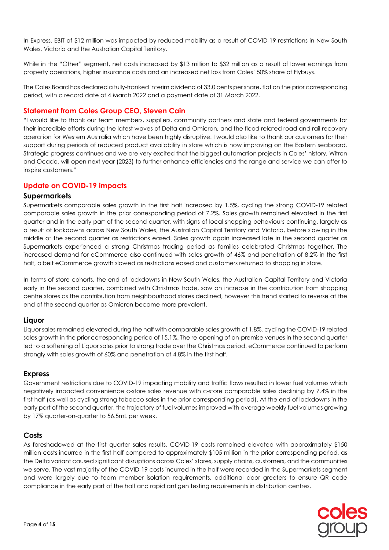In Express, EBIT of \$12 million was impacted by reduced mobility as a result of COVID-19 restrictions in New South Wales, Victoria and the Australian Capital Territory.

While in the "Other" segment, net costs increased by \$13 million to \$32 million as a result of lower earnings from property operations, higher insurance costs and an increased net loss from Coles' 50% share of Flybuys.

The Coles Board has declared a fully-franked interim dividend of 33.0 cents per share, flat on the prior corresponding period, with a record date of 4 March 2022 and a payment date of 31 March 2022.

### **Statement from Coles Group CEO, Steven Cain**

"I would like to thank our team members, suppliers, community partners and state and federal governments for their incredible efforts during the latest waves of Delta and Omicron, and the flood related road and rail recovery operation for Western Australia which have been highly disruptive. I would also like to thank our customers for their support during periods of reduced product availability in store which is now improving on the Eastern seaboard. Strategic progress continues and we are very excited that the biggest automation projects in Coles' history, Witron and Ocado, will open next year (2023) to further enhance efficiencies and the range and service we can offer to inspire customers."

## **Update on COVID-19 impacts**

#### **Supermarkets**

Supermarkets comparable sales growth in the first half increased by 1.5%, cycling the strong COVID-19 related comparable sales growth in the prior corresponding period of 7.2%. Sales growth remained elevated in the first quarter and in the early part of the second quarter, with signs of local shopping behaviours continuing, largely as a result of lockdowns across New South Wales, the Australian Capital Territory and Victoria, before slowing in the middle of the second quarter as restrictions eased. Sales growth again increased late in the second quarter as Supermarkets experienced a strong Christmas trading period as families celebrated Christmas together. The increased demand for eCommerce also continued with sales growth of 46% and penetration of 8.2% in the first half, albeit eCommerce growth slowed as restrictions eased and customers returned to shopping in store.

In terms of store cohorts, the end of lockdowns in New South Wales, the Australian Capital Territory and Victoria early in the second quarter, combined with Christmas trade, saw an increase in the contribution from shopping centre stores as the contribution from neighbourhood stores declined, however this trend started to reverse at the end of the second quarter as Omicron became more prevalent.

#### **Liquor**

Liquor sales remained elevated during the half with comparable sales growth of 1.8%, cycling the COVID-19 related sales growth in the prior corresponding period of 15.1%. The re-opening of on-premise venues in the second quarter led to a softening of Liquor sales prior to strong trade over the Christmas period. eCommerce continued to perform strongly with sales growth of 60% and penetration of 4.8% in the first half.

#### **Express**

Government restrictions due to COVID-19 impacting mobility and traffic flows resulted in lower fuel volumes which negatively impacted convenience c-store sales revenue with c-store comparable sales declining by 7.4% in the first half (as well as cycling strong tobacco sales in the prior corresponding period). At the end of lockdowns in the early part of the second quarter, the trajectory of fuel volumes improved with average weekly fuel volumes growing by 17% quarter-on-quarter to 56.5mL per week.

#### **Costs**

As foreshadowed at the first quarter sales results, COVID-19 costs remained elevated with approximately \$150 million costs incurred in the first half compared to approximately \$105 million in the prior corresponding period, as the Delta variant caused significant disruptions across Coles' stores, supply chains, customers, and the communities we serve. The vast majority of the COVID-19 costs incurred in the half were recorded in the Supermarkets segment and were largely due to team member isolation requirements, additional door greeters to ensure QR code compliance in the early part of the half and rapid antigen testing requirements in distribution centres.

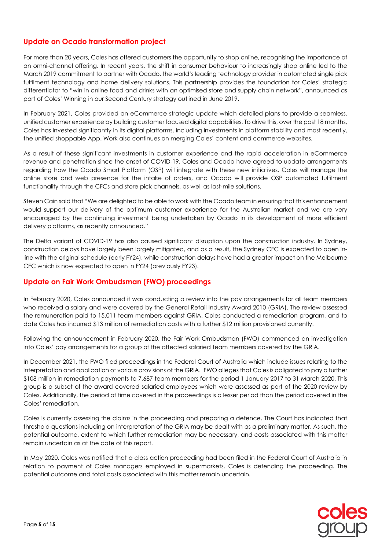## **Update on Ocado transformation project**

For more than 20 years, Coles has offered customers the opportunity to shop online, recognising the importance of an omni-channel offering. In recent years, the shift in consumer behaviour to increasingly shop online led to the March 2019 commitment to partner with Ocado, the world's leading technology provider in automated single pick fulfilment technology and home delivery solutions. This partnership provides the foundation for Coles' strategic differentiator to "win in online food and drinks with an optimised store and supply chain network", announced as part of Coles' Winning in our Second Century strategy outlined in June 2019.

In February 2021, Coles provided an eCommerce strategic update which detailed plans to provide a seamless, unified customer experience by building customer focused digital capabilities. To drive this, over the past 18 months, Coles has invested significantly in its digital platforms, including investments in platform stability and most recently, the unified shoppable App. Work also continues on merging Coles' content and commerce websites.

As a result of these significant investments in customer experience and the rapid acceleration in eCommerce revenue and penetration since the onset of COVID-19, Coles and Ocado have agreed to update arrangements regarding how the Ocado Smart Platform (OSP) will integrate with these new initiatives. Coles will manage the online store and web presence for the intake of orders, and Ocado will provide OSP automated fulfilment functionality through the CFCs and store pick channels, as well as last-mile solutions.

Steven Cain said that "We are delighted to be able to work with the Ocado team in ensuring that this enhancement would support our delivery of the optimum customer experience for the Australian market and we are very encouraged by the continuing investment being undertaken by Ocado in its development of more efficient delivery platforms, as recently announced."

The Delta variant of COVID-19 has also caused significant disruption upon the construction industry. In Sydney, construction delays have largely been largely mitigated, and as a result, the Sydney CFC is expected to open inline with the original schedule (early FY24), while construction delays have had a greater impact on the Melbourne CFC which is now expected to open in FY24 (previously FY23).

## **Update on Fair Work Ombudsman (FWO) proceedings**

In February 2020, Coles announced it was conducting a review into the pay arrangements for all team members who received a salary and were covered by the General Retail Industry Award 2010 (GRIA). The review assessed the remuneration paid to 15,011 team members against GRIA. Coles conducted a remediation program, and to date Coles has incurred \$13 million of remediation costs with a further \$12 million provisioned currently.

Following the announcement in February 2020, the Fair Work Ombudsman (FWO) commenced an investigation into Coles' pay arrangements for a group of the affected salaried team members covered by the GRIA.

In December 2021, the FWO filed proceedings in the Federal Court of Australia which include issues relating to the interpretation and application of various provisions of the GRIA. FWO alleges that Coles is obligated to pay a further \$108 million in remediation payments to 7,687 team members for the period 1 January 2017 to 31 March 2020. This group is a subset of the award covered salaried employees which were assessed as part of the 2020 review by Coles. Additionally, the period of time covered in the proceedings is a lesser period than the period covered in the Coles' remediation.

Coles is currently assessing the claims in the proceeding and preparing a defence. The Court has indicated that threshold questions including on interpretation of the GRIA may be dealt with as a preliminary matter. As such, the potential outcome, extent to which further remediation may be necessary, and costs associated with this matter remain uncertain as at the date of this report.

In May 2020, Coles was notified that a class action proceeding had been filed in the Federal Court of Australia in relation to payment of Coles managers employed in supermarkets. Coles is defending the proceeding. The potential outcome and total costs associated with this matter remain uncertain.

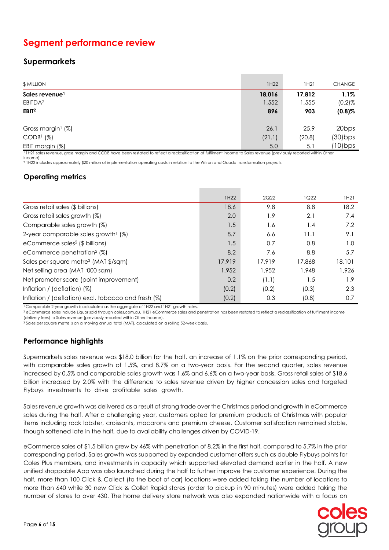## **Segment performance review**

## **Supermarkets**

| <b>\$ MILLION</b>                                                                                                                                                                                                                                                                                                                                                                                                                                                              | 1H22   | 1H21   | <b>CHANGE</b>     |
|--------------------------------------------------------------------------------------------------------------------------------------------------------------------------------------------------------------------------------------------------------------------------------------------------------------------------------------------------------------------------------------------------------------------------------------------------------------------------------|--------|--------|-------------------|
| Sales revenue <sup>1</sup>                                                                                                                                                                                                                                                                                                                                                                                                                                                     | 18,016 | 17,812 | $1.1\%$           |
| EBITDA <sup>2</sup>                                                                                                                                                                                                                                                                                                                                                                                                                                                            | 1,552  | 1,555  | $(0.2)$ %         |
| EBIT <sup>2</sup>                                                                                                                                                                                                                                                                                                                                                                                                                                                              | 896    | 903    | $(0.8)$ %         |
|                                                                                                                                                                                                                                                                                                                                                                                                                                                                                |        |        |                   |
| Gross margin <sup>1</sup> (%)                                                                                                                                                                                                                                                                                                                                                                                                                                                  | 26.1   | 25.9   | 20 <sub>bps</sub> |
| CODB <sup>1</sup> (%)                                                                                                                                                                                                                                                                                                                                                                                                                                                          | (21.1) | (20.8) | $(30)$ bps        |
| EBIT margin (%)<br>$\mathcal{L}(\mathcal{L}(\mathcal{L}(\mathcal{L}(\mathcal{L}(\mathcal{L}(\mathcal{L}(\mathcal{L}(\mathcal{L}(\mathcal{L}(\mathcal{L}(\mathcal{L}(\mathcal{L}(\mathcal{L}(\mathcal{L}(\mathcal{L}(\mathcal{L}(\mathcal{L}(\mathcal{L}(\mathcal{L}(\mathcal{L}(\mathcal{L}(\mathcal{L}(\mathcal{L}(\mathcal{L}(\mathcal{L}(\mathcal{L}(\mathcal{L}(\mathcal{L}(\mathcal{L}(\mathcal{L}(\mathcal{L}(\mathcal{L}(\mathcal{L}(\mathcal{L}(\mathcal{L}(\mathcal{$ | 5.0    | 5.1    | $(10)$ bps        |

<sup>1</sup>1H21 sales revenue, gross margin and CODB have been restated to reflect a reclassification of fulfilment income to Sales revenue (previously reported within Other Income).

<sup>2</sup> 1H22 includes approximately \$20 million of implementation operating costs in relation to the Witron and Ocado transformation projects.

## **Operating metrics**

|                                                     | 1H22   | 2Q22   | 1Q22   | 1H21   |
|-----------------------------------------------------|--------|--------|--------|--------|
|                                                     |        |        |        |        |
| Gross retail sales (\$ billions)                    | 18.6   | 9.8    | 8.8    | 18.2   |
| Gross retail sales growth (%)                       | 2.0    | 1.9    | 2.1    | 7.4    |
| Comparable sales growth (%)                         | 1.5    | 1.6    | 1.4    | 7.2    |
| 2-year comparable sales growth <sup>1</sup> $(\%)$  | 8.7    | 6.6    | 11.1   | 9.1    |
| eCommerce sales <sup>2</sup> (\$ billions)          | 1.5    | 0.7    | 0.8    | 1.0    |
| eCommerce penetration <sup>2</sup> (%)              | 8.2    | 7.6    | 8.8    | 5.7    |
| Sales per square metre <sup>3</sup> (MAT \$/sqm)    | 17,919 | 17.919 | 17,868 | 18,101 |
| Net selling area (MAT '000 sqm)                     | 1,952  | 1.952  | 1,948  | 1.926  |
| Net promoter score (point improvement)              | 0.2    | (1.1)  | 1.5    | 1.9    |
| Inflation / (deflation) $(\%)$                      | (0.2)  | (0.2)  | (0.3)  | 2.3    |
| Inflation / (deflation) excl. tobacco and fresh (%) | (0.2)  | 0.3    | (0.8)  | 0.7    |

<sup>1</sup>Comparable 2-year growth is calculated as the aggregate of 1H22 and 1H21 growth rates.

<sup>2</sup> eCommerce sales include Liquor sold through coles.com.au. 1H21 eCommerce sales and penetration has been restated to reflect a reclassification of fulfilment income (delivery fees) to Sales revenue (previously reported within Other Income).

<sup>3</sup> Sales per square metre is on a moving annual total (MAT), calculated on a rolling 52-week basis.

## **Performance highlights**

Supermarkets sales revenue was \$18.0 billion for the half, an increase of 1.1% on the prior corresponding period, with comparable sales growth of 1.5%, and 8.7% on a two-year basis. For the second quarter, sales revenue increased by 0.5% and comparable sales growth was 1.6% and 6.6% on a two-year basis. Gross retail sales of \$18.6 billion increased by 2.0% with the difference to sales revenue driven by higher concession sales and targeted Flybuys investments to drive profitable sales growth. .

Sales revenue growth was delivered as a result of strong trade over the Christmas period and growth in eCommerce sales during the half. After a challenging year, customers opted for premium products at Christmas with popular items including rock lobster, croissants, macarons and premium cheese. Customer satisfaction remained stable, though softened late in the half, due to availability challenges driven by COVID-19.

eCommerce sales of \$1.5 billion grew by 46% with penetration of 8.2% in the first half, compared to 5.7% in the prior corresponding period. Sales growth was supported by expanded customer offers such as double Flybuys points for Coles Plus members, and investments in capacity which supported elevated demand earlier in the half. A new unified shoppable App was also launched during the half to further improve the customer experience. During the half, more than 100 Click & Collect (to the boot of car) locations were added taking the number of locations to more than 640 while 30 new Click & Collet Rapid stores (order to pickup in 90 minutes) were added taking the number of stores to over 430. The home delivery store network was also expanded nationwide with a focus on

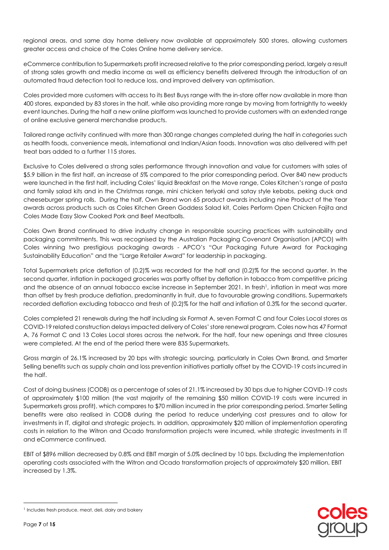regional areas, and same day home delivery now available at approximately 500 stores, allowing customers greater access and choice of the Coles Online home delivery service.

eCommerce contribution to Supermarkets profit increased relative to the prior corresponding period, largely a result of strong sales growth and media income as well as efficiency benefits delivered through the introduction of an automated fraud detection tool to reduce loss, and improved delivery van optimisation.

Coles provided more customers with access to its Best Buys range with the in-store offer now available in more than 400 stores, expanded by 83 stores in the half, while also providing more range by moving from fortnightly to weekly event launches. During the half a new online platform was launched to provide customers with an extended range of online exclusive general merchandise products.

Tailored range activity continued with more than 300 range changes completed during the half in categories such as health foods, convenience meals, international and Indian/Asian foods. Innovation was also delivered with pet treat bars added to a further 115 stores.

Exclusive to Coles delivered a strong sales performance through innovation and value for customers with sales of \$5.9 billion in the first half, an increase of 5% compared to the prior corresponding period. Over 840 new products were launched in the first half, including Coles' liquid Breakfast on the Move range, Coles Kitchen's range of pasta and family salad kits and in the Christmas range, mini chicken teriyaki and satay style kebabs, peking duck and cheeseburger spring rolls. During the half, Own Brand won 65 product awards including nine Product of the Year awards across products such as Coles Kitchen Green Goddess Salad kit, Coles Perform Open Chicken Fajita and Coles Made Easy Slow Cooked Pork and Beef Meatballs.

Coles Own Brand continued to drive industry change in responsible sourcing practices with sustainability and packaging commitments. This was recognised by the Australian Packaging Covenant Organisation (APCO) with Coles winning two prestigious packaging awards - APCO's "Our Packaging Future Award for Packaging Sustainability Education" and the "Large Retailer Award" for leadership in packaging.

Total Supermarkets price deflation of (0.2)% was recorded for the half and (0.2)% for the second quarter. In the second quarter, inflation in packaged groceries was partly offset by deflation in tobacco from competitive pricing and the absence of an annual tobacco excise increase in September 2021. In fresh<sup>1</sup>, inflation in meat was more than offset by fresh produce deflation, predominantly in fruit, due to favourable growing conditions. Supermarkets recorded deflation excluding tobacco and fresh of (0.2)% for the half and inflation of 0.3% for the second quarter.

Coles completed 21 renewals during the half including six Format A, seven Format C and four Coles Local stores as COVID-19 related construction delays impacted delivery of Coles' store renewal program. Coles now has 47 Format A, 76 Format C and 13 Coles Local stores across the network. For the half, four new openings and three closures were completed. At the end of the period there were 835 Supermarkets.

Gross margin of 26.1% increased by 20 bps with strategic sourcing, particularly in Coles Own Brand, and Smarter Selling benefits such as supply chain and loss prevention initiatives partially offset by the COVID-19 costs incurred in the half.

Cost of doing business (CODB) as a percentage of sales of 21.1% increased by 30 bps due to higher COVID-19 costs of approximately \$100 million (the vast majority of the remaining \$50 million COVID-19 costs were incurred in Supermarkets gross profit), which compares to \$70 million incurred in the prior corresponding period. Smarter Selling benefits were also realised in CODB during the period to reduce underlying cost pressures and to allow for investments in IT, digital and strategic projects. In addition, approximately \$20 million of implementation operating costs in relation to the Witron and Ocado transformation projects were incurred, while strategic investments in IT and eCommerce continued.

EBIT of \$896 million decreased by 0.8% and EBIT margin of 5.0% declined by 10 bps. Excluding the implementation operating costs associated with the Witron and Ocado transformation projects of approximately \$20 million, EBIT increased by 1.3%.



<sup>&</sup>lt;sup>1</sup> Includes fresh produce, meat, deli, dairy and bakery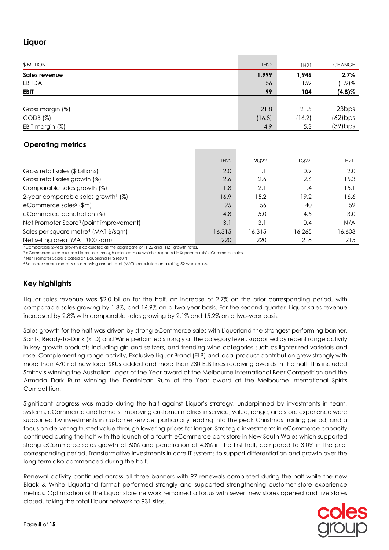## **Liquor**

| \$ MILLION       | 1H22   | 1H21   | <b>CHANGE</b>     |
|------------------|--------|--------|-------------------|
| Sales revenue    | 1,999  | 1,946  | 2.7%              |
| <b>EBITDA</b>    | 156    | 159    | $(1.9)$ %         |
| <b>EBIT</b>      | 99     | 104    | $(4.8)\%$         |
|                  |        |        |                   |
| Gross margin (%) | 21.8   | 21.5   | 23 <sub>bps</sub> |
| CODB (%)         | (16.8) | (16.2) | $(62)$ bps        |
| EBIT margin (%)  | 4.9    | 5.3    | $(39)$ bps        |

## **Operating metrics**

|                                                     | 1H22   | 2Q22   | 1Q22   | 1H21   |
|-----------------------------------------------------|--------|--------|--------|--------|
| Gross retail sales (\$ billions)                    | 2.0    | 1.1    | 0.9    | 2.0    |
| Gross retail sales growth (%)                       | 2.6    | 2.6    | 2.6    | 15.3   |
| Comparable sales growth (%)                         | 1.8    | 2.1    | 4. ا   | 15.1   |
| 2-year comparable sales growth <sup>1</sup> (%)     | 16.9   | 15.2   | 19.2   | 16.6   |
| eCommerce sales <sup>2</sup> (\$m)                  | 95     | 56     | 40     | 59     |
| eCommerce penetration (%)                           | 4.8    | 5.0    | 4.5    | 3.0    |
| Net Promoter Score <sup>3</sup> (point improvement) | 3.1    | 3.1    | 0.4    | N/A    |
| Sales per square metre <sup>4</sup> (MAT \$/sqm)    | 16,315 | 16,315 | 16.265 | 16,603 |
| Net selling area (MAT '000 sqm)                     | 220    | 220    | 218    | 215    |

<sup>1</sup> Comparable 2-year growth is calculated as the aggregate of 1H22 and 1H21 growth rates.

<sup>2</sup> eCommerce sales exclude Liquor sold through coles.com.au which is reported in Supermarkets' eCommerce sales.

<sup>3</sup> Net Promoter Score is based on Liquorland NPS results.

<sup>4</sup> Sales per square metre is on a moving annual total (MAT), calculated on a rolling 52-week basis.

## **Key highlights**

Liquor sales revenue was \$2.0 billion for the half, an increase of 2.7% on the prior corresponding period, with comparable sales growing by 1.8%, and 16.9% on a two-year basis. For the second quarter, Liquor sales revenue increased by 2.8% with comparable sales growing by 2.1% and 15.2% on a two-year basis.

Sales growth for the half was driven by strong eCommerce sales with Liquorland the strongest performing banner. Spirits, Ready-To-Drink (RTD) and Wine performed strongly at the category level, supported by recent range activity in key growth products including gin and seltzers, and trending wine categories such as lighter red varietals and rose. Complementing range activity, Exclusive Liquor Brand (ELB) and local product contribution grew strongly with more than 470 net new local SKUs added and more than 230 ELB lines receiving awards in the half. This included Smithy's winning the Australian Lager of the Year award at the Melbourne International Beer Competition and the Armada Dark Rum winning the Dominican Rum of the Year award at the Melbourne International Spirits Competition.

Significant progress was made during the half against Liquor's strategy, underpinned by investments in team, systems, eCommerce and formats. Improving customer metrics in service, value, range, and store experience were supported by investments in customer service, particularly leading into the peak Christmas trading period, and a focus on delivering trusted value through lowering prices for longer. Strategic investments in eCommerce capacity continued during the half with the launch of a fourth eCommerce dark store in New South Wales which supported strong eCommerce sales growth of 60% and penetration of 4.8% in the first half, compared to 3.0% in the prior corresponding period. Transformative investments in core IT systems to support differentiation and growth over the long-term also commenced during the half.

Renewal activity continued across all three banners with 97 renewals completed during the half while the new Black & White Liquorland format performed strongly and supported strengthening customer store experience metrics. Optimisation of the Liquor store network remained a focus with seven new stores opened and five stores closed, taking the total Liquor network to 931 sites.

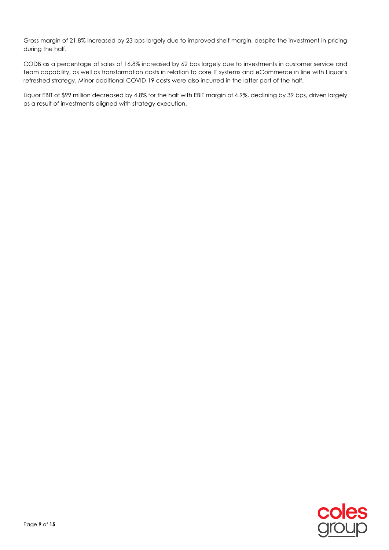Gross margin of 21.8% increased by 23 bps largely due to improved shelf margin, despite the investment in pricing during the half.

CODB as a percentage of sales of 16.8% increased by 62 bps largely due to investments in customer service and team capability, as well as transformation costs in relation to core IT systems and eCommerce in line with Liquor's refreshed strategy. Minor additional COVID-19 costs were also incurred in the latter part of the half.

Liquor EBIT of \$99 million decreased by 4.8% for the half with EBIT margin of 4.9%, declining by 39 bps, driven largely as a result of investments aligned with strategy execution.

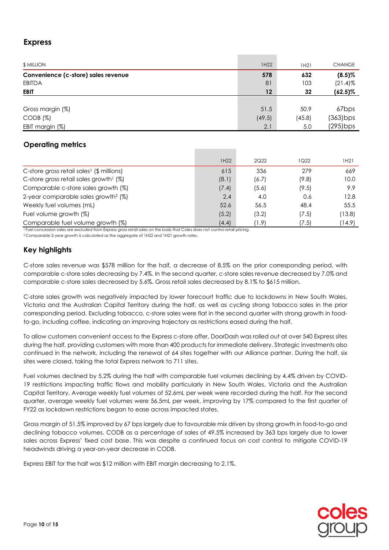## **Express**

| <b>\$ MILLION</b>                   | 1H22   | 1H21   | <b>CHANGE</b>     |
|-------------------------------------|--------|--------|-------------------|
| Convenience (c-store) sales revenue | 578    | 632    | $(8.5)\%$         |
| EBITDA                              | 81     | 103    | $(21.4)$ %        |
| <b>EBIT</b>                         | 12     | 32     | $(62.5)\%$        |
|                                     |        |        |                   |
| Gross margin (%)                    | 51.5   | 50.9   | 67 <sub>bps</sub> |
| CODB (%)                            | (49.5) | (45.8) | (363) bps         |
| EBIT margin (%)                     | 2.1    | 5.0    | $(295)$ bps       |

## **Operating metrics**

|                                                       | 1H22  | 2Q22  | 1Q22  | 1H21   |
|-------------------------------------------------------|-------|-------|-------|--------|
| C-store gross retail sales <sup>1</sup> (\$ millions) | 615   | 336   | 279   | 669    |
| C-store gross retail sales growth <sup>1</sup> (%)    | (8.1) | (6.7) | (9.8) | 10.0   |
| Comparable c-store sales growth (%)                   | (7.4) | (5.6) | (9.5) | 9.9    |
| 2-year comparable sales growth <sup>2</sup> $(\%)$    | 2.4   | 4.0   | 0.6   | 12.8   |
| Weekly fuel volumes (mL)                              | 52.6  | 56.5  | 48.4  | 55.5   |
| Fuel volume growth (%)                                | (5.2) | (3.2) | (7.5) | (13.8) |
| Comparable fuel volume growth (%)                     | (4.4) | (1.9  | (7.5) | (14.9) |

<sup>1</sup>Fuel concession sales are excluded from Express gross retail sales on the basis that Coles does not control retail pricing.

<sup>2</sup>Comparable 2-year growth is calculated as the aggregate of 1H22 and 1H21 growth rates.

## **Key highlights**

C-store sales revenue was \$578 million for the half, a decrease of 8.5% on the prior corresponding period, with comparable c-store sales decreasing by 7.4%. In the second quarter, c-store sales revenue decreased by 7.0% and comparable c-store sales decreased by 5.6%. Gross retail sales decreased by 8.1% to \$615 million.

C-store sales growth was negatively impacted by lower forecourt traffic due to lockdowns in New South Wales, Victoria and the Australian Capital Territory during the half, as well as cycling strong tobacco sales in the prior corresponding period. Excluding tobacco, c-store sales were flat in the second quarter with strong growth in foodto-go, including coffee, indicating an improving trajectory as restrictions eased during the half.

To allow customers convenient access to the Express c-store offer, DoorDash was rolled out at over 540 Express sites during the half, providing customers with more than 400 products for immediate delivery. Strategic investments also continued in the network, including the renewal of 64 sites together with our Alliance partner. During the half, six sites were closed, taking the total Express network to 711 sites.

Fuel volumes declined by 5.2% during the half with comparable fuel volumes declining by 4.4% driven by COVID-19 restrictions impacting traffic flows and mobility particularly in New South Wales, Victoria and the Australian Capital Territory. Average weekly fuel volumes of 52.6mL per week were recorded during the half. For the second quarter, average weekly fuel volumes were 56.5mL per week, improving by 17% compared to the first quarter of FY22 as lockdown restrictions began to ease across impacted states.

Gross margin of 51.5% improved by 67 bps largely due to favourable mix driven by strong growth in food-to-go and declining tobacco volumes. CODB as a percentage of sales of 49.5% increased by 363 bps largely due to lower sales across Express' fixed cost base. This was despite a continued focus on cost control to mitigate COVID-19 headwinds driving a year-on-year decrease in CODB.

Express EBIT for the half was \$12 million with EBIT margin decreasing to 2.1%.

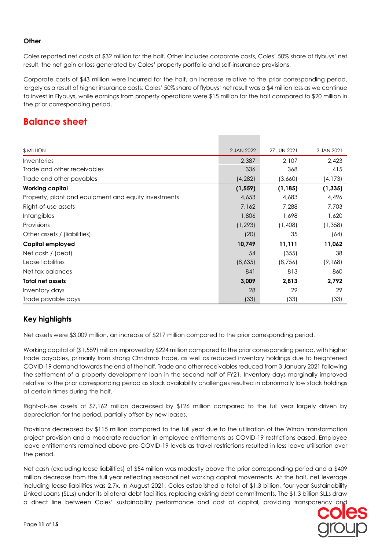#### **Other**

Coles reported net costs of \$32 million for the half. Other includes corporate costs, Coles' 50% share of flybuys' net result, the net gain or loss generated by Coles' property portfolio and self-insurance provisions.

Corporate costs of \$43 million were incurred for the half, an increase relative to the prior corresponding period, largely as a result of higher insurance costs. Coles' 50% share of flybuys' net result was a \$4 million loss as we continue to invest in Flybuys, while earnings from property operations were \$15 million for the half compared to \$20 million in the prior corresponding period.

## **Balance sheet**

| \$ MILLION                                           | 2 JAN 2022 | 27 JUN 2021 | 3 JAN 2021 |
|------------------------------------------------------|------------|-------------|------------|
| Inventories                                          | 2,387      | 2,107       | 2,423      |
| Trade and other receivables                          | 336        | 368         | 415        |
| Trade and other payables                             | (4,282)    | (3,660)     | (4, 173)   |
| <b>Working capital</b>                               | (1, 559)   | (1, 185)    | (1, 335)   |
| Property, plant and equipment and equity investments | 4,653      | 4,683       | 4,496      |
| Right-of-use assets                                  | 7,162      | 7,288       | 7,703      |
| <b>Intangibles</b>                                   | 1,806      | 1,698       | 1,620      |
| Provisions                                           | (1, 293)   | (1,408)     | (1, 358)   |
| Other assets / (liabilities)                         | (20)       | 35          | (64)       |
| Capital employed                                     | 10,749     | 11,111      | 11,062     |
| Net cash / (debt)                                    | 54         | (355)       | 38         |
| Lease liabilities                                    | (8,635)    | (8,756)     | (9,168)    |
| Net tax balances                                     | 841        | 813         | 860        |
| <b>Total net assets</b>                              | 3,009      | 2,813       | 2,792      |
| Inventory days                                       | 28         | 29          | 29         |
| Trade payable days                                   | (33)       | (33)        | (33)       |

## **Key highlights**

Net assets were \$3,009 million, an increase of \$217 million compared to the prior corresponding period.

Working capital of (\$1,559) million improved by \$224 million compared to the prior corresponding period, with higher trade payables, primarily from strong Christmas trade, as well as reduced inventory holdings due to heightened COVID-19 demand towards the end of the half. Trade and other receivables reduced from 3 January 2021 following the settlement of a property development loan in the second half of FY21. Inventory days marginally improved relative to the prior corresponding period as stock availability challenges resulted in abnormally low stock holdings at certain times during the half.

Right-of-use assets of \$7,162 million decreased by \$126 million compared to the full year largely driven by depreciation for the period, partially offset by new leases.

Provisions decreased by \$115 million compared to the full year due to the utilisation of the Witron transformation project provision and a moderate reduction in employee entitlements as COVID-19 restrictions eased. Employee leave entitlements remained above pre-COVID-19 levels as travel restrictions resulted in less leave utilisation over the period.

Net cash (excluding lease liabilities) of \$54 million was modestly above the prior corresponding period and a \$409 million decrease from the full year reflecting seasonal net working capital movements. At the half, net leverage including lease liabilities was 2.7x. In August 2021, Coles established a total of \$1.3 billion, four-year Sustainability Linked Loans (SLLs) under its bilateral debt facilities, replacing existing debt commitments. The \$1.3 billion SLLs draw a direct line between Coles' sustainability performance and cost of capital, providing transparency and

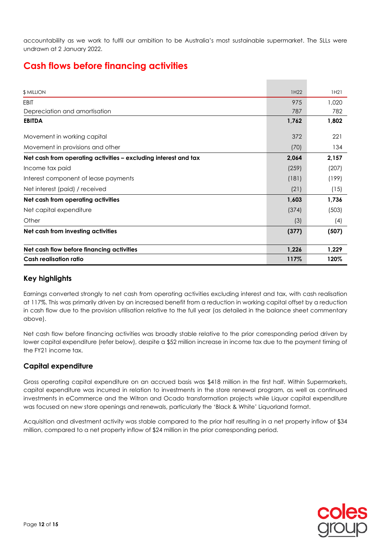accountability as we work to fulfil our ambition to be Australia's most sustainable supermarket. The SLLs were undrawn at 2 January 2022.

## **Cash flows before financing activities**

| <b>\$ MILLION</b>                                               | 1H22  | 1H21  |
|-----------------------------------------------------------------|-------|-------|
| <b>EBIT</b>                                                     | 975   | 1,020 |
| Depreciation and amortisation                                   | 787   | 782   |
| <b>EBITDA</b>                                                   | 1,762 | 1,802 |
| Movement in working capital                                     | 372   | 221   |
| Movement in provisions and other                                | (70)  | 134   |
| Net cash from operating activities – excluding interest and tax | 2,064 | 2,157 |
| Income tax paid                                                 | (259) | (207) |
| Interest component of lease payments                            | (181) | (199) |
| Net interest (paid) / received                                  | (21)  | (15)  |
| Net cash from operating activities                              | 1,603 | 1,736 |
| Net capital expenditure                                         | (374) | (503) |
| Other                                                           | (3)   | (4)   |
| Net cash from investing activities                              | (377) | (507) |
| Net cash flow before financing activities                       | 1,226 | 1,229 |
| <b>Cash realisation ratio</b>                                   | 117%  | 120%  |

## **Key highlights**

Earnings converted strongly to net cash from operating activities excluding interest and tax, with cash realisation at 117%. This was primarily driven by an increased benefit from a reduction in working capital offset by a reduction in cash flow due to the provision utilisation relative to the full year (as detailed in the balance sheet commentary above).

Net cash flow before financing activities was broadly stable relative to the prior corresponding period driven by lower capital expenditure (refer below), despite a \$52 million increase in income tax due to the payment timing of the FY21 income tax.

## **Capital expenditure**

Gross operating capital expenditure on an accrued basis was \$418 million in the first half. Within Supermarkets, capital expenditure was incurred in relation to investments in the store renewal program, as well as continued investments in eCommerce and the Witron and Ocado transformation projects while Liquor capital expenditure was focused on new store openings and renewals, particularly the 'Black & White' Liquorland format.

Acquisition and divestment activity was stable compared to the prior half resulting in a net property inflow of \$34 million, compared to a net property inflow of \$24 million in the prior corresponding period.

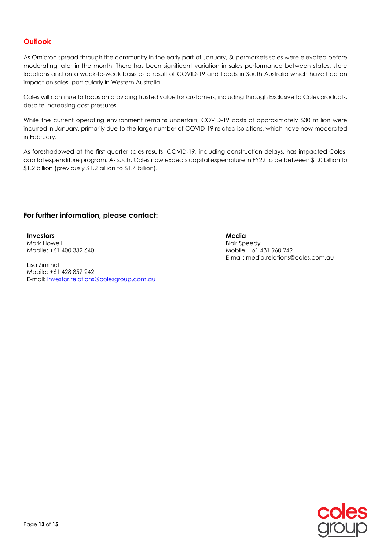## **Outlook**

As Omicron spread through the community in the early part of January, Supermarkets sales were elevated before moderating later in the month. There has been significant variation in sales performance between states, store locations and on a week-to-week basis as a result of COVID-19 and floods in South Australia which have had an impact on sales, particularly in Western Australia.

Coles will continue to focus on providing trusted value for customers, including through Exclusive to Coles products, despite increasing cost pressures.

While the current operating environment remains uncertain, COVID-19 costs of approximately \$30 million were incurred in January, primarily due to the large number of COVID-19 related isolations, which have now moderated in February.

As foreshadowed at the first quarter sales results, COVID-19, including construction delays, has impacted Coles' capital expenditure program. As such, Coles now expects capital expenditure in FY22 to be between \$1.0 billion to \$1.2 billion (previously \$1.2 billion to \$1.4 billion).

#### **For further information, please contact:**

#### **Investors**

Mark Howell Mobile: +61 400 332 640

Lisa Zimmet Mobile: +61 428 857 242 E-mail: [investor.relations@colesgroup.com.au](mailto:investor.relations@colesgroup.com.au) **Media** 

Blair Speedy Mobile: +61 431 960 249 E-mail: media.relations@coles.com.au

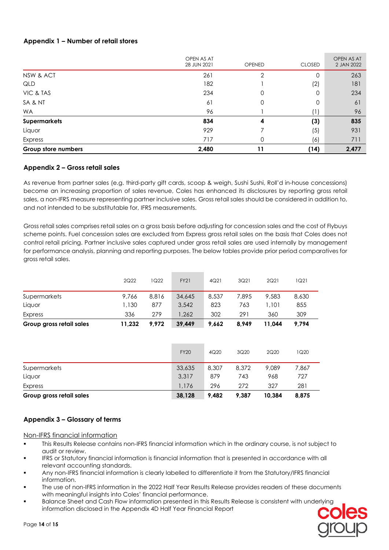### **Appendix 1 – Number of retail stores**

|                     | OPEN AS AT<br>28 JUN 2021 | <b>OPENED</b> | <b>CLOSED</b> | OPEN AS AT<br>2 JAN 2022 |
|---------------------|---------------------------|---------------|---------------|--------------------------|
| NSW & ACT           | 261                       | 2             | 0             | 263                      |
| QLD                 | 182                       |               | (2)           | 181                      |
| VIC & TAS           | 234                       | 0             | 0             | 234                      |
| SA & NT             | 61                        | 0             | 0             | 61                       |
| <b>WA</b>           | 96                        |               | (1)           | 96                       |
| <b>Supermarkets</b> | 834                       | 4             | (3)           | 835                      |
| Liquor              | 929                       |               | (5)           | 931                      |
| Express             | 717                       | 0             | (6)           | 711                      |
| Group store numbers | 2,480                     |               | (14)          | 2,477                    |

#### **Appendix 2 – Gross retail sales**

As revenue from partner sales (e.g. third-party gift cards, scoop & weigh, Sushi Sushi, Roll'd in-house concessions) become an increasing proportion of sales revenue, Coles has enhanced its disclosures by reporting gross retail sales, a non-IFRS measure representing partner inclusive sales. Gross retail sales should be considered in addition to, and not intended to be substitutable for, IFRS measurements.

Gross retail sales comprises retail sales on a gross basis before adjusting for concession sales and the cost of Flybuys scheme points. Fuel concession sales are excluded from Express gross retail sales on the basis that Coles does not control retail pricing. Partner inclusive sales captured under gross retail sales are used internally by management for performance analysis, planning and reporting purposes. The below tables provide prior period comparatives for gross retail sales.

| Group gross retail sales | 11.232 | 9.972 | 39,449      | 9,662 | 8.949 | 11.044 | 9.794 |  |
|--------------------------|--------|-------|-------------|-------|-------|--------|-------|--|
| Express                  | 336    | 279   | 1.262       | 302   | 291   | 360    | 309   |  |
| Liquor                   | 1,130  | 877   | 3,542       | 823   | 763   | ,101   | 855   |  |
| Supermarkets             | 9.766  | 8.816 | 34,645      | 8.537 | 7.895 | 9,583  | 8,630 |  |
|                          | 2Q22   | 1Q22  | <b>FY21</b> | 4Q21  | 3Q21  | 2Q21   | 1Q21  |  |

| Group gross retail sales | 38,128      | 9.482 | 9,387 | 10.384 | 8,875 |  |
|--------------------------|-------------|-------|-------|--------|-------|--|
| Express                  | 1,176       | 296   | 272   | 327    | 281   |  |
| Liquor                   | 3.317       | 879   | 743   | 968    | 727   |  |
| Supermarkets             | 33,635      | 8,307 | 8.372 | 9.089  | 7.867 |  |
|                          | <b>FY20</b> | 4Q20  | 3Q20  | 2Q20   | 1Q20  |  |

#### **Appendix 3 – Glossary of terms**

Non-IFRS financial information

- This Results Release contains non-IFRS financial information which in the ordinary course, is not subject to audit or review.
- IFRS or Statutory financial information is financial information that is presented in accordance with all relevant accounting standards.
- Any non-IFRS financial information is clearly labelled to differentiate it from the Statutory/IFRS financial information.
- The use of non-IFRS information in the 2022 Half Year Results Release provides readers of these documents with meaningful insights into Coles' financial performance.
- Balance Sheet and Cash Flow information presented in this Results Release is consistent with underlying information disclosed in the Appendix 4D Half Year Financial Report